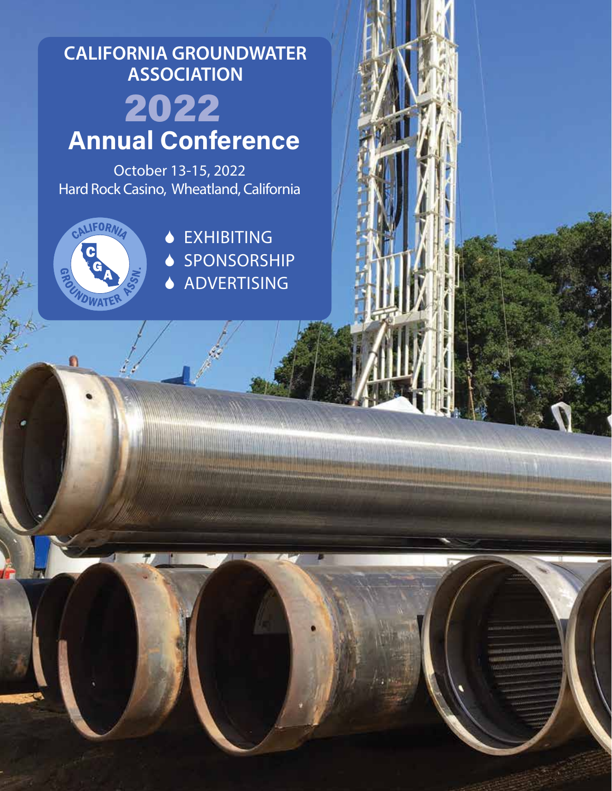# **CALIFORNIA GROUNDWATER ASSOCIATION** 2022 **Annual Conference**

October 13-15, 2022 Hard Rock Casino, Wheatland, California



n

**◆ EXHIBITING** ♦ SPONSORSHIP ◆ ADVERTISING

<u>bergunaka unggunaan </u>

1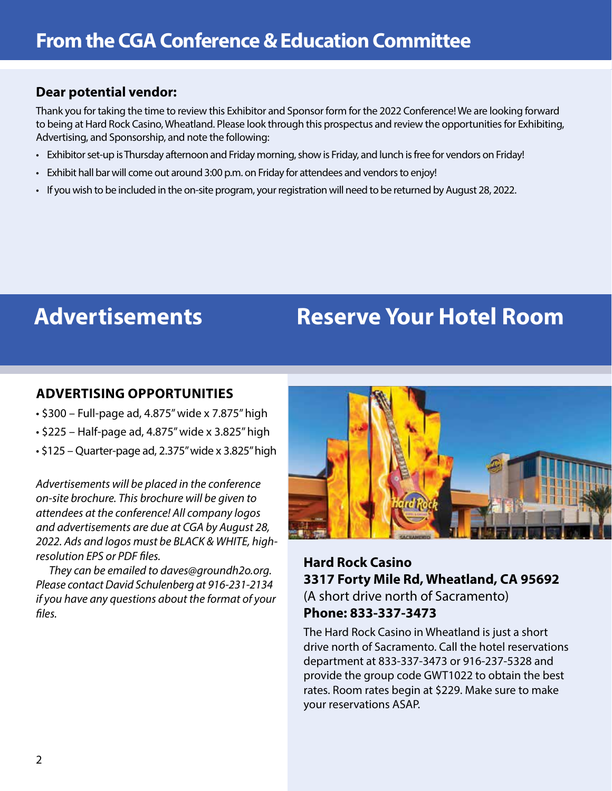# **Dear potential vendor:**

Thank you for taking the time to review this Exhibitor and Sponsor form for the 2022 Conference! We are looking forward to being at Hard Rock Casino, Wheatland. Please look through this prospectus and review the opportunities for Exhibiting, Advertising, and Sponsorship, and note the following:

- Exhibitor set-up is Thursday afternoon and Friday morning, show is Friday, and lunch is free for vendors on Friday!
- Exhibit hall bar will come out around 3:00 p.m. on Friday for attendees and vendors to enjoy!
- If you wish to be included in the on-site program, your registration will need to be returned by August 28, 2022.

# **Advertisements Reserve Your Hotel Room**

# **ADVERTISING OPPORTUNITIES**

- \$300 Full-page ad, 4.875" wide x 7.875" high
- \$225 Half-page ad, 4.875" wide x 3.825" high
- \$125 Quarter-page ad, 2.375" wide x 3.825" high

*Advertisements will be placed in the conference on-site brochure. This brochure will be given to attendees at the conference! All company logos and advertisements are due at CGA by August 28, 2022. Ads and logos must be BLACK & WHITE, highresolution EPS or PDF files.*

*They can be emailed to daves@groundh2o.org. Please contact David Schulenberg at 916-231-2134 if you have any questions about the format of your files.*



**Hard Rock Casino 3317 Forty Mile Rd, Wheatland, CA 95692**  (A short drive north of Sacramento) **Phone: 833-337-3473** 

The Hard Rock Casino in Wheatland is just a short drive north of Sacramento. Call the hotel reservations department at 833-337-3473 or 916-237-5328 and provide the group code GWT1022 to obtain the best rates. Room rates begin at \$229. Make sure to make your reservations ASAP.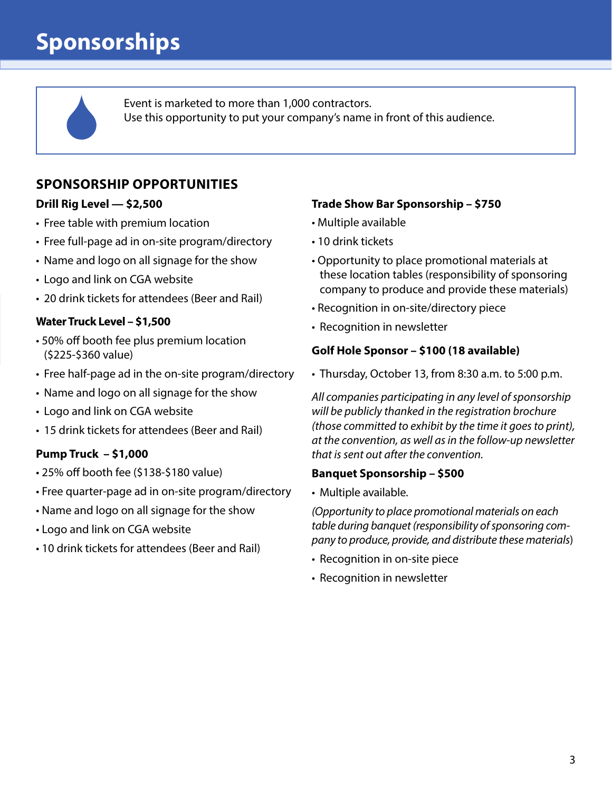# **Sponsorships**

Event is marketed to more than 1,000 contractors. Use this opportunity to put your company's name in front of this audience.

# **SPONSORSHIP OPPORTUNITIES**

#### **Drill Rig Level — \$2,500**

- Free table with premium location
- Free full-page ad in on-site program/directory
- Name and logo on all signage for the show
- Logo and link on CGA website
- 20 drink tickets for attendees (Beer and Rail)

### **Water Truck Level – \$1,500**

- 50% off booth fee plus premium location (\$225-\$360 value)
- Free half-page ad in the on-site program/directory
- Name and logo on all signage for the show
- Logo and link on CGA website
- 15 drink tickets for attendees (Beer and Rail)

### **Pump Truck – \$1,000**

- 25% off booth fee (\$138-\$180 value)
- Free quarter-page ad in on-site program/directory
- Name and logo on all signage for the show
- Logo and link on CGA website
- 10 drink tickets for attendees (Beer and Rail)

### **Trade Show Bar Sponsorship – \$750**

- Multiple available
- 10 drink tickets
- Opportunity to place promotional materials at these location tables (responsibility of sponsoring company to produce and provide these materials)
- Recognition in on-site/directory piece
- Recognition in newsletter

#### **Golf Hole Sponsor – \$100 (18 available)**

• Thursday, October 13, from 8:30 a.m. to 5:00 p.m.

*All companies participating in any level of sponsorship will be publicly thanked in the registration brochure (those committed to exhibit by the time it goes to print), at the convention, as well as in the follow-up newsletter that is sent out after the convention.*

#### **Banquet Sponsorship – \$500**

• Multiple available.

*(Opportunity to place promotional materials on each table during banquet (responsibility of sponsoring company to produce, provide, and distribute these materials*)

- Recognition in on-site piece
- Recognition in newsletter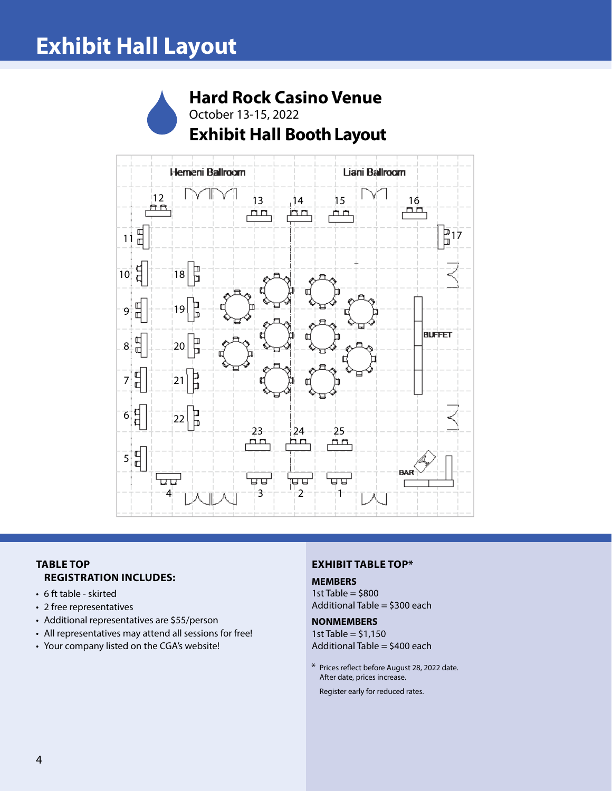# **Exhibit Hall Layout**

# **Hard Rock Casino Venue** October 13-15, 2022 **Exhibit Hall Booth Layout**



#### **TABLE TOP REGISTRATION INCLUDES:**

- 6 ft table skirted
- 2 free representatives
- Additional representatives are \$55/person
- All representatives may attend all sessions for free!
- Your company listed on the CGA's website!

#### **EXHIBIT TABLE TOP\***

#### **MEMBERS**

1st Table  $=$  \$800 Additional Table = \$300 each

#### **NONMEMBERS**

1st Table =  $$1,150$ Additional Table = \$400 each

\* Prices reflect before August 28, 2022 date. After date, prices increase.

Register early for reduced rates.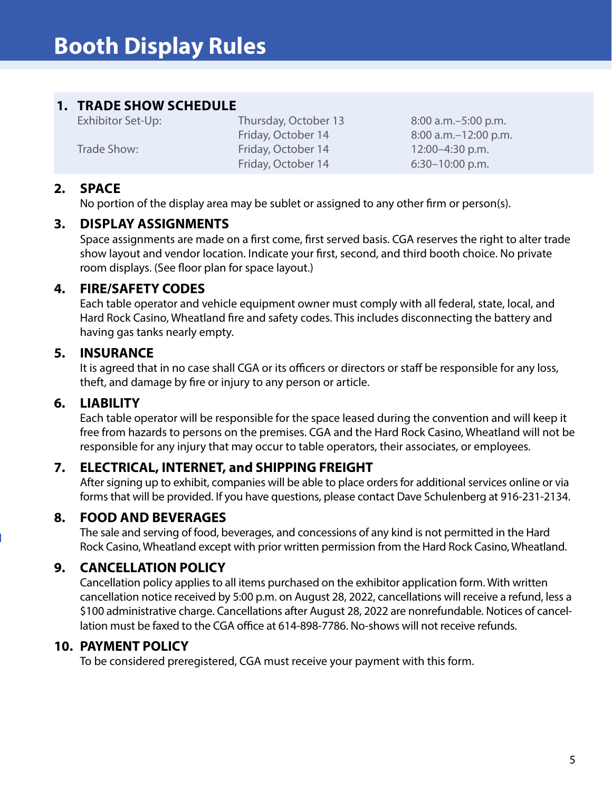# **1. TRADE SHOW SCHEDULE**

Exhibitor Set-Up: Thursday, October 13 8:00 a.m. – 5:00 p.m. Trade Show: Friday, October 14 12:00-4:30 p.m. Friday, October 14 6:30-10:00 p.m.

Friday, October 14 8:00 a.m.–12:00 p.m.

### **2. SPACE**

No portion of the display area may be sublet or assigned to any other firm or person(s).

### **3. DISPLAY ASSIGNMENTS**

Space assignments are made on a first come, first served basis. CGA reserves the right to alter trade show layout and vendor location. Indicate your first, second, and third booth choice. No private room displays. (See floor plan for space layout.)

### **4. FIRE/SAFETY CODES**

Each table operator and vehicle equipment owner must comply with all federal, state, local, and Hard Rock Casino, Wheatland fire and safety codes. This includes disconnecting the battery and having gas tanks nearly empty.

# **5. INSURANCE**

It is agreed that in no case shall CGA or its officers or directors or staff be responsible for any loss, theft, and damage by fire or injury to any person or article.

# **6. LIABILITY**

Each table operator will be responsible for the space leased during the convention and will keep it free from hazards to persons on the premises. CGA and the Hard Rock Casino, Wheatland will not be responsible for any injury that may occur to table operators, their associates, or employees.

# **7. ELECTRICAL, INTERNET, and SHIPPING FREIGHT**

After signing up to exhibit, companies will be able to place orders for additional services online or via forms that will be provided. If you have questions, please contact Dave Schulenberg at 916-231-2134.

# **8. FOOD AND BEVERAGES**

The sale and serving of food, beverages, and concessions of any kind is not permitted in the Hard Rock Casino, Wheatland except with prior written permission from the Hard Rock Casino, Wheatland.

# **9. CANCELLATION POLICY**

Cancellation policy applies to all items purchased on the exhibitor application form. With written cancellation notice received by 5:00 p.m. on August 28, 2022, cancellations will receive a refund, less a \$100 administrative charge. Cancellations after August 28, 2022 are nonrefundable. Notices of cancellation must be faxed to the CGA office at 614-898-7786. No-shows will not receive refunds.

### **10. PAYMENT POLICY**

To be considered preregistered, CGA must receive your payment with this form.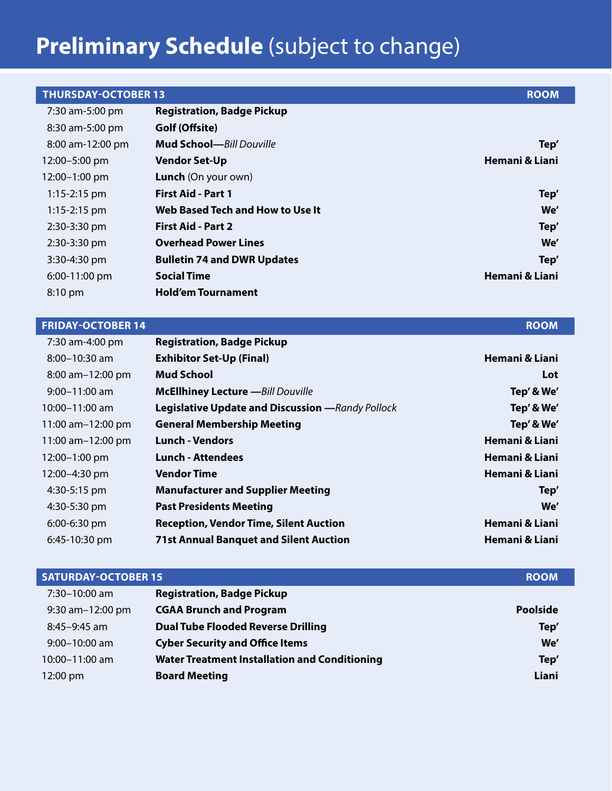# **Preliminary Schedule** (subject to change)

| <b>ROOM</b>    |                                    | <b>THURSDAY-OCTOBER 13</b> |
|----------------|------------------------------------|----------------------------|
|                | <b>Registration, Badge Pickup</b>  | 7:30 am-5:00 pm            |
|                | Golf (Offsite)                     | 8:30 am-5:00 pm            |
| Tep'           | <b>Mud School</b> —Bill Douville   | 8:00 am-12:00 pm           |
| Hemani & Liani | <b>Vendor Set-Up</b>               | 12:00-5:00 pm              |
|                | <b>Lunch</b> (On your own)         | 12:00-1:00 pm              |
| Tep'           | <b>First Aid - Part 1</b>          | $1:15 - 2:15$ pm           |
| We'            | Web Based Tech and How to Use It   | $1:15-2:15$ pm             |
| Tep'           | <b>First Aid - Part 2</b>          | 2:30-3:30 pm               |
| We'            | <b>Overhead Power Lines</b>        | 2:30-3:30 pm               |
| Tep'           | <b>Bulletin 74 and DWR Updates</b> | 3:30-4:30 pm               |
| Hemani & Liani | <b>Social Time</b>                 | 6:00-11:00 pm              |
|                | <b>Hold'em Tournament</b>          | 8:10 pm                    |
|                |                                    |                            |

#### **FRIDAY-OCTOBER 14** ROOM

| 7:30 am-4:00 pm       | <b>Registration, Badge Pickup</b>                        |                           |
|-----------------------|----------------------------------------------------------|---------------------------|
| $8:00 - 10:30$ am     | <b>Exhibitor Set-Up (Final)</b>                          | Hemani & Liani            |
| $8:00$ am $-12:00$ pm | <b>Mud School</b>                                        | Lot                       |
| $9:00 - 11:00$ am     | <b>McEllhiney Lecture</b> -- Bill Douville               | Tep' & We'                |
| 10:00-11:00 am        | <b>Legislative Update and Discussion</b> - Randy Pollock | Tep' & We'                |
| 11:00 am-12:00 pm     | <b>General Membership Meeting</b>                        | Tep' & We'                |
| 11:00 am-12:00 pm     | <b>Lunch - Vendors</b>                                   | Hemani & Liani            |
| $12:00 - 1:00$ pm     | <b>Lunch - Attendees</b>                                 | Hemani & Liani            |
| 12:00-4:30 pm         | <b>Vendor Time</b>                                       | Hemani & Liani            |
| 4:30-5:15 pm          | <b>Manufacturer and Supplier Meeting</b>                 | Tep'                      |
| 4:30-5:30 pm          | <b>Past Presidents Meeting</b>                           | We'                       |
| $6:00-6:30$ pm        | <b>Reception, Vendor Time, Silent Auction</b>            | <b>Hemani &amp; Liani</b> |
| 6:45-10:30 pm         | <b>71st Annual Banquet and Silent Auction</b>            | Hemani & Liani            |

| <b>SATURDAY-OCTOBER 15</b> |                                                      | <b>ROOM</b>     |
|----------------------------|------------------------------------------------------|-----------------|
| 7:30-10:00 am              | <b>Registration, Badge Pickup</b>                    |                 |
| $9:30$ am $-12:00$ pm      | <b>CGAA Brunch and Program</b>                       | <b>Poolside</b> |
| $8:45-9:45$ am             | <b>Dual Tube Flooded Reverse Drilling</b>            | Tep'            |
| $9:00 - 10:00$ am          | <b>Cyber Security and Office Items</b>               | We'             |
| 10:00-11:00 am             | <b>Water Treatment Installation and Conditioning</b> | Tep'            |
| 12:00 pm                   | <b>Board Meeting</b>                                 | Liani           |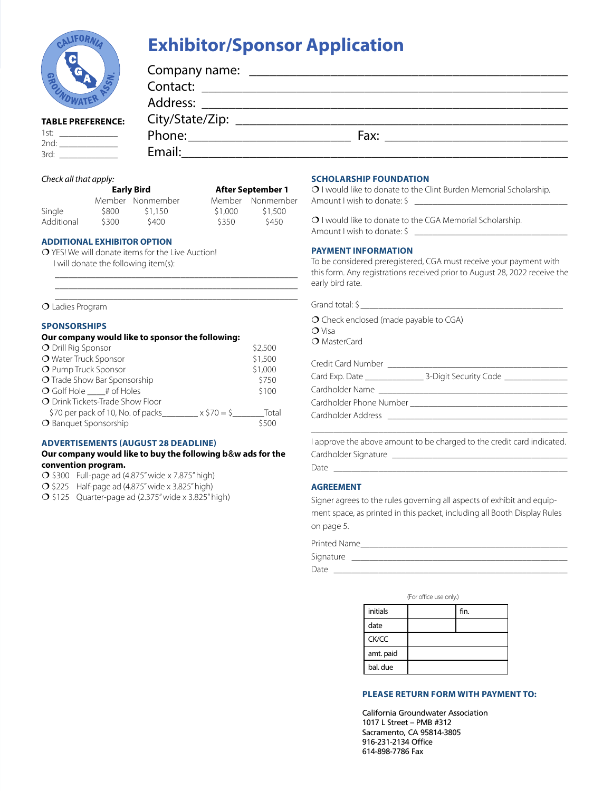

# **Exhibitor/Sponsor Application**

| 'n                       | Company name: |                                                            |  |
|--------------------------|---------------|------------------------------------------------------------|--|
| <b>POL</b>               |               |                                                            |  |
|                          | Address:      | <u> 1980 - Jan Barbara, martxa al Indonesia (h. 1980).</u> |  |
| <b>TABLE PREFERENCE:</b> |               |                                                            |  |
| 1st: $\qquad \qquad$     | Phone:        | Fax:                                                       |  |
| 2nd:<br>3rd:             | Email:        |                                                            |  |

#### *Check all that apply:*

| <b>Early Bird</b> | <b>After September 1</b> |
|-------------------|--------------------------|

|            |       | _______          |         | .                |
|------------|-------|------------------|---------|------------------|
|            |       | Member Nonmember |         | Member Nonmember |
| Single     | \$800 | \$1,150          | \$1,000 | \$1,500          |
| Additional | \$300 | \$400            | \$350   | \$450            |

\_\_\_\_\_\_\_\_\_\_\_\_\_\_\_\_\_\_\_\_\_\_\_\_\_\_\_\_\_\_\_\_\_\_\_\_\_\_\_\_\_\_\_\_\_\_\_\_\_\_\_\_\_\_ \_\_\_\_\_\_\_\_\_\_\_\_\_\_\_\_\_\_\_\_\_\_\_\_\_\_\_\_\_\_\_\_\_\_\_\_\_\_\_\_\_\_\_\_\_\_\_\_\_\_\_\_\_\_ \_\_\_\_\_\_\_\_\_\_\_\_\_\_\_\_\_\_\_\_\_\_\_\_\_\_\_\_\_\_\_\_\_\_\_\_\_\_\_\_\_\_\_\_\_\_\_\_\_\_\_\_\_\_

#### **ADDITIONAL EXHIBITOR OPTION**

 YES! We will donate items for the Live Auction! I will donate the following item(s):

Ladies Program

#### **SPONSORSHIPS**

| Our company would like to sponsor the following:     |         |
|------------------------------------------------------|---------|
| O Drill Rig Sponsor                                  | \$2,500 |
| O Water Truck Sponsor                                | \$1,500 |
| O Pump Truck Sponsor                                 | \$1,000 |
| <b>O</b> Trade Show Bar Sponsorship                  | \$750   |
| $\overline{O}$ Golf Hole # of Holes                  | \$100   |
| O Drink Tickets-Trade Show Floor                     |         |
| \$70 per pack of 10, No. of packs_<br>$x \, 570 = 5$ | Total   |
| O Banquet Sponsorship                                | \$500   |

#### **ADVERTISEMENTS (AUGUST 28 DEADLINE)**

#### **Our company would like to buy the following b**&**w ads for the convention program.**

- $\bigcirc$  \$300 Full-page ad (4.875" wide x 7.875" high)
- $\bigcirc$  \$225 Half-page ad (4.875" wide x 3.825" high)
- $\bigcirc$  \$125 Quarter-page ad (2.375" wide x 3.825" high)

#### **SCHOLARSHIP FOUNDATION**

O I would like to donate to the Clint Burden Memorial Scholarship. Amount I wish to donate: \$ \_

O I would like to donate to the CGA Memorial Scholarship. Amount I wish to donate: \$

#### **PAYMENT INFORMATION**

To be considered preregistered, CGA must receive your payment with this form. Any registrations received prior to August 28, 2022 receive the early bird rate.

|  | Grand total <sup>.</sup> |  |  |
|--|--------------------------|--|--|
|--|--------------------------|--|--|

O Check enclosed (made payable to CGA)  $O$  Visa

O MasterCard

| Credit Card Number      |                       |
|-------------------------|-----------------------|
| Card Exp. Date          | 3-Digit Security Code |
| Cardholder Name         |                       |
| Cardholder Phone Number |                       |
| Cardholder Address      |                       |
|                         |                       |

\_\_\_\_\_\_\_\_\_\_\_\_\_\_\_\_\_\_\_\_\_\_\_\_\_\_\_\_\_\_\_\_\_\_\_\_\_\_\_\_\_\_\_\_\_\_\_\_\_\_\_\_\_\_\_\_\_ I approve the above amount to be charged to the credit card indicated. Cardholder Signature \_\_\_\_\_\_\_\_\_\_

Date \_\_\_\_\_\_\_\_\_\_\_\_\_\_\_\_\_\_\_\_\_\_\_\_\_\_\_\_\_\_\_\_\_\_\_\_\_\_\_\_\_\_\_\_\_\_\_\_\_\_\_\_

#### **AGREEMENT**

Signer agrees to the rules governing all aspects of exhibit and equipment space, as printed in this packet, including all Booth Display Rules on page 5.

| Printed Name |  |
|--------------|--|
| Signature    |  |
| Date         |  |

(For office use only.)

| initials  | fin. |
|-----------|------|
| date      |      |
| CK/CC     |      |
| amt. paid |      |
| bal. due  |      |

#### **PLEASE RETURN FORM WITH PAYMENT TO:**

California Groundwater Association 1017 L Street – PMB #312 Sacramento, CA 95814-3805 916-231-2134 Office 614-898-7786 Fax